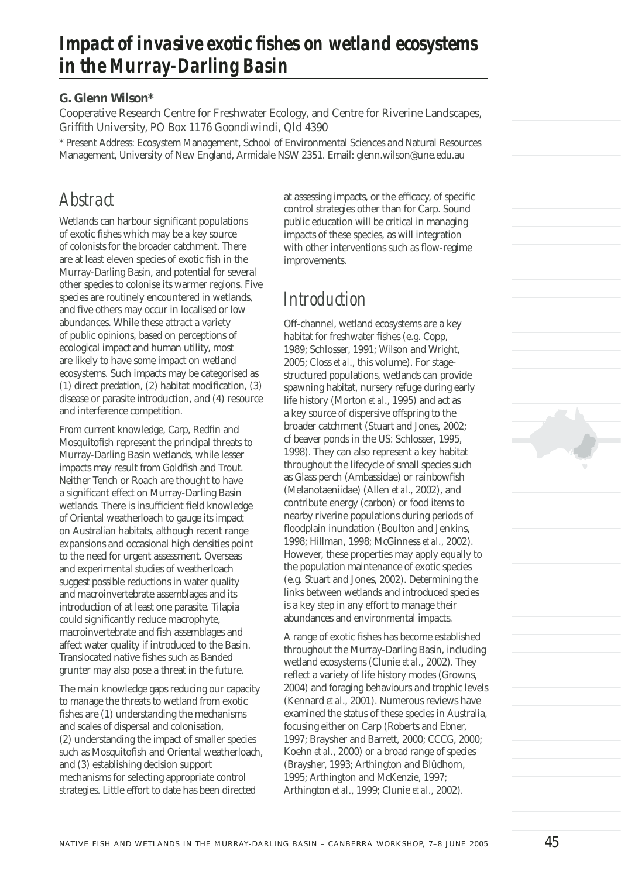# Impact of invasive exotic fishes on wetland ecosystems *in the Murray-Darling Basin*

### **G. Glenn Wilson\***

Cooperative Research Centre for Freshwater Ecology, and Centre for Riverine Landscapes, Griffith University, PO Box 1176 Goondiwindi, Qld 4390

\* Present Address: Ecosystem Management, School of Environmental Sciences and Natural Resources Management, University of New England, Armidale NSW 2351. Email: glenn.wilson@une.edu.au

### *Abstract*

Wetlands can harbour significant populations of exotic fishes which may be a key source of colonists for the broader catchment. There are at least eleven species of exotic fish in the Murray-Darling Basin, and potential for several other species to colonise its warmer regions. Five species are routinely encountered in wetlands, and five others may occur in localised or low abundances. While these attract a variety of public opinions, based on perceptions of ecological impact and human utility, most are likely to have some impact on wetland ecosystems. Such impacts may be categorised as  $(1)$  direct predation,  $(2)$  habitat modification,  $(3)$ disease or parasite introduction, and (4) resource and interference competition.

From current knowledge, Carp, Redfin and Mosquitofish represent the principal threats to Murray-Darling Basin wetlands, while lesser impacts may result from Goldfish and Trout. Neither Tench or Roach are thought to have a significant effect on Murray-Darling Basin wetlands. There is insufficient field knowledge of Oriental weatherloach to gauge its impact on Australian habitats, although recent range expansions and occasional high densities point to the need for urgent assessment. Overseas and experimental studies of weatherloach suggest possible reductions in water quality and macroinvertebrate assemblages and its introduction of at least one parasite. Tilapia could significantly reduce macrophyte, macroinvertebrate and fish assemblages and affect water quality if introduced to the Basin. Translocated native fishes such as Banded grunter may also pose a threat in the future.

The main knowledge gaps reducing our capacity to manage the threats to wetland from exotic fishes are (1) understanding the mechanisms and scales of dispersal and colonisation, (2) understanding the impact of smaller species such as Mosquitofish and Oriental weatherloach, and (3) establishing decision support mechanisms for selecting appropriate control strategies. Little effort to date has been directed

at assessing impacts, or the efficacy, of specific control strategies other than for Carp. Sound public education will be critical in managing impacts of these species, as will integration with other interventions such as flow-regime improvements.

## *Introduction*

Off-channel, wetland ecosystems are a key habitat for freshwater fishes (e.g. Copp, 1989; Schlosser, 1991; Wilson and Wright, 2005; Closs *et al*., this volume). For stagestructured populations, wetlands can provide spawning habitat, nursery refuge during early life history (Morton *et al*., 1995) and act as a key source of dispersive offspring to the broader catchment (Stuart and Jones, 2002; cf beaver ponds in the US: Schlosser, 1995, 1998). They can also represent a key habitat throughout the lifecycle of small species such as Glass perch (Ambassidae) or rainbowfish (Melanotaeniidae) (Allen *et al*., 2002), and contribute energy (carbon) or food items to nearby riverine populations during periods of floodplain inundation (Boulton and Jenkins, 1998; Hillman, 1998; McGinness *et al*., 2002). However, these properties may apply equally to the population maintenance of exotic species (e.g. Stuart and Jones, 2002). Determining the links between wetlands and introduced species is a key step in any effort to manage their abundances and environmental impacts.

A range of exotic fishes has become established throughout the Murray-Darling Basin, including wetland ecosystems (Clunie *et al*., 2002). They reflect a variety of life history modes (Growns, 2004) and foraging behaviours and trophic levels (Kennard *et al*., 2001). Numerous reviews have examined the status of these species in Australia, focusing either on Carp (Roberts and Ebner, 1997; Braysher and Barrett, 2000; CCCG, 2000; Koehn *et al*., 2000) or a broad range of species (Braysher, 1993; Arthington and Blüdhorn, 1995; Arthington and McKenzie, 1997; Arthington *et al*., 1999; Clunie *et al*., 2002).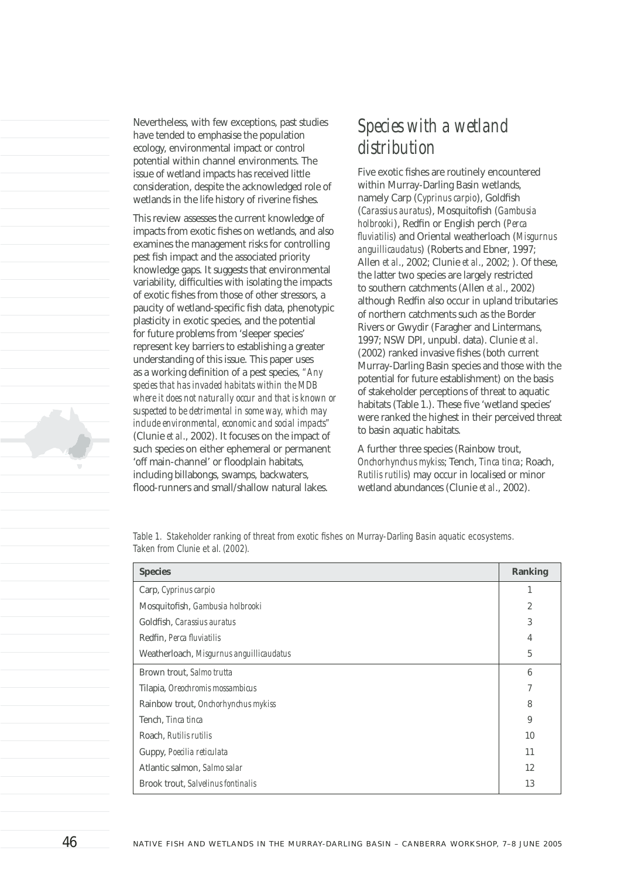Nevertheless, with few exceptions, past studies have tended to emphasise the population ecology, environmental impact or control potential within channel environments. The issue of wetland impacts has received little consideration, despite the acknowledged role of wetlands in the life history of riverine fishes.

This review assesses the current knowledge of impacts from exotic fishes on wetlands, and also examines the management risks for controlling pest fish impact and the associated priority knowledge gaps. It suggests that environmental variability, difficulties with isolating the impacts of exotic fishes from those of other stressors, a paucity of wetland-specific fish data, phenotypic plasticity in exotic species, and the potential for future problems from 'sleeper species' represent key barriers to establishing a greater understanding of this issue. This paper uses as a working definition of a pest species, "Any *species that has invaded habitats within the MDB where it does not naturally occur and that is known or suspected to be detrimental in some way, which may include environmental, economic and social impacts"*  (Clunie *et al*., 2002). It focuses on the impact of such species on either ephemeral or permanent 'off main-channel' or floodplain habitats, including billabongs, swamps, backwaters, flood-runners and small/shallow natural lakes.

## *Species with a wetland distribution*

Five exotic fishes are routinely encountered within Murray-Darling Basin wetlands, namely Carp (*Cyprinus carpio*), Goldfish (*Carassius auratus*), Mosquitofish (*Gambusia holbrooki*), Redfin or English perch (*Perca fl uviatilis*) and Oriental weatherloach (*Misgurnus anguillicaudatus*) (Roberts and Ebner, 1997; Allen *et al*., 2002; Clunie *et al*., 2002; ). Of these, the latter two species are largely restricted to southern catchments (Allen *et al*., 2002) although Redfin also occur in upland tributaries of northern catchments such as the Border Rivers or Gwydir (Faragher and Lintermans, 1997; NSW DPI, unpubl. data). Clunie *et al*. (2002) ranked invasive fishes (both current Murray-Darling Basin species and those with the potential for future establishment) on the basis of stakeholder perceptions of threat to aquatic habitats (Table 1.). These five 'wetland species' were ranked the highest in their perceived threat to basin aquatic habitats.

A further three species (Rainbow trout, *Onchorhynchus mykiss*; Tench, *Tinca tinca*; Roach, *Rutilis rutilis*) may occur in localised or minor wetland abundances (Clunie *et al*., 2002).

*Table 1. Stakeholder ranking of threat from exotic fishes on Murray-Darling Basin aquatic ecosystems. Taken from Clunie et al. (2002).*

| <b>Species</b>                           |                |  |
|------------------------------------------|----------------|--|
| Carp, Cyprinus carpio                    |                |  |
| Mosquitofish, Gambusia holbrooki         |                |  |
| Goldfish, Carassius auratus              |                |  |
| Redfin, Perca fluviatilis                |                |  |
| Weatherloach, Misgurnus anguillicaudatus | $\overline{5}$ |  |
| Brown trout, Salmo trutta                | 6              |  |
| Tilapia, Oreochromis mossambicus         |                |  |
| Rainbow trout, Onchorhynchus mykiss      |                |  |
| Tench, Tinca tinca                       |                |  |
| Roach, Rutilis rutilis                   | 10             |  |
| Guppy, Poecilia reticulata               | 11             |  |
| Atlantic salmon, Salmo salar             | 12             |  |
| Brook trout, Salvelinus fontinalis       | 13             |  |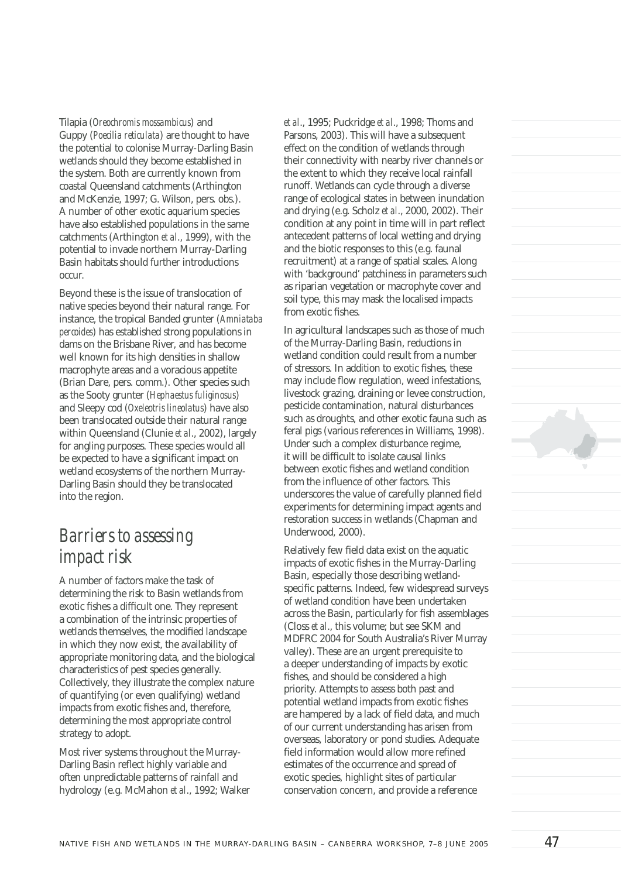Tilapia (*Oreochromis mossambicus*) and Guppy (*Poecilia reticulata*) are thought to have the potential to colonise Murray-Darling Basin wetlands should they become established in the system. Both are currently known from coastal Queensland catchments (Arthington and McKenzie, 1997; G. Wilson, pers. obs.). A number of other exotic aquarium species have also established populations in the same catchments (Arthington *et al*., 1999), with the potential to invade northern Murray-Darling Basin habitats should further introductions occur.

Beyond these is the issue of translocation of native species beyond their natural range. For instance, the tropical Banded grunter (*Amniataba percoides*) has established strong populations in dams on the Brisbane River, and has become well known for its high densities in shallow macrophyte areas and a voracious appetite (Brian Dare, pers. comm.). Other species such as the Sooty grunter (*Hephaestus fuliginosus*) and Sleepy cod (*Oxeleotris lineolatus*) have also been translocated outside their natural range within Queensland (Clunie *et al*., 2002), largely for angling purposes. These species would all be expected to have a significant impact on wetland ecosystems of the northern Murray-Darling Basin should they be translocated into the region.

## *Barriers to assessing impact risk*

A number of factors make the task of determining the risk to Basin wetlands from exotic fishes a difficult one. They represent a combination of the intrinsic properties of wetlands themselves, the modified landscape in which they now exist, the availability of appropriate monitoring data, and the biological characteristics of pest species generally. Collectively, they illustrate the complex nature of quantifying (or even qualifying) wetland impacts from exotic fishes and, therefore, determining the most appropriate control strategy to adopt.

Most river systems throughout the Murray-Darling Basin reflect highly variable and often unpredictable patterns of rainfall and hydrology (e.g. McMahon *et al*., 1992; Walker *et al*., 1995; Puckridge *et al*., 1998; Thoms and Parsons, 2003). This will have a subsequent effect on the condition of wetlands through their connectivity with nearby river channels or the extent to which they receive local rainfall runoff. Wetlands can cycle through a diverse range of ecological states in between inundation and drying (e.g. Scholz *et al*., 2000, 2002). Their condition at any point in time will in part reflect antecedent patterns of local wetting and drying and the biotic responses to this (e.g. faunal recruitment) at a range of spatial scales. Along with 'background' patchiness in parameters such as riparian vegetation or macrophyte cover and soil type, this may mask the localised impacts from exotic fishes.

In agricultural landscapes such as those of much of the Murray-Darling Basin, reductions in wetland condition could result from a number of stressors. In addition to exotic fishes, these may include flow regulation, weed infestations, livestock grazing, draining or levee construction, pesticide contamination, natural disturbances such as droughts, and other exotic fauna such as feral pigs (various references in Williams, 1998). Under such a complex disturbance regime, it will be difficult to isolate causal links between exotic fishes and wetland condition from the influence of other factors. This underscores the value of carefully planned field experiments for determining impact agents and restoration success in wetlands (Chapman and Underwood, 2000).

Relatively few field data exist on the aquatic impacts of exotic fishes in the Murray-Darling Basin, especially those describing wetlandspecific patterns. Indeed, few widespread surveys of wetland condition have been undertaken across the Basin, particularly for fish assemblages (Closs *et al*., this volume; but see SKM and MDFRC 2004 for South Australia's River Murray valley). These are an urgent prerequisite to a deeper understanding of impacts by exotic fishes, and should be considered a high priority. Attempts to assess both past and potential wetland impacts from exotic fishes are hampered by a lack of field data, and much of our current understanding has arisen from overseas, laboratory or pond studies. Adequate field information would allow more refined estimates of the occurrence and spread of exotic species, highlight sites of particular conservation concern, and provide a reference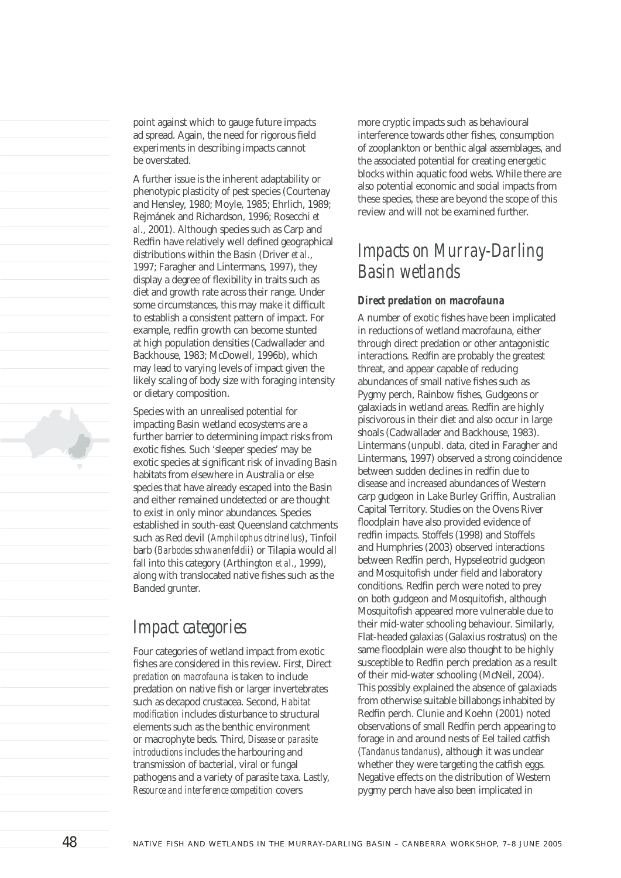point against which to gauge future impacts ad spread. Again, the need for rigorous field experiments in describing impacts cannot be overstated.

A further issue is the inherent adaptability or phenotypic plasticity of pest species (Courtenay and Hensley, 1980; Moyle, 1985; Ehrlich, 1989; Rejmánek and Richardson, 1996; Rosecchi *et al*., 2001). Although species such as Carp and Redfin have relatively well defined geographical distributions within the Basin (Driver *et al*., 1997; Faragher and Lintermans, 1997), they display a degree of flexibility in traits such as diet and growth rate across their range. Under some circumstances, this may make it difficult to establish a consistent pattern of impact. For example, redfin growth can become stunted at high population densities (Cadwallader and Backhouse, 1983; McDowell, 1996b), which may lead to varying levels of impact given the likely scaling of body size with foraging intensity or dietary composition.

Species with an unrealised potential for impacting Basin wetland ecosystems are a further barrier to determining impact risks from exotic fishes. Such 'sleeper species' may be exotic species at significant risk of invading Basin habitats from elsewhere in Australia or else species that have already escaped into the Basin and either remained undetected or are thought to exist in only minor abundances. Species established in south-east Queensland catchments such as Red devil (*Amphilophus citrinellus*), Tinfoil barb (*Barbodes schwanenfeldii*) or Tilapia would all fall into this category (Arthington *et al*., 1999), along with translocated native fishes such as the Banded grunter.

## *Impact categories*

Four categories of wetland impact from exotic fishes are considered in this review. First, Direct *predation on macrofauna* is taken to include predation on native fish or larger invertebrates such as decapod crustacea. Second, *Habitat modification* includes disturbance to structural elements such as the benthic environment or macrophyte beds. Third, *Disease or parasite introductions* includes the harbouring and transmission of bacterial, viral or fungal pathogens and a variety of parasite taxa. Lastly, *Resource and interference competition* covers

more cryptic impacts such as behavioural interference towards other fishes, consumption of zooplankton or benthic algal assemblages, and the associated potential for creating energetic blocks within aquatic food webs. While there are also potential economic and social impacts from these species, these are beyond the scope of this review and will not be examined further.

## *Impacts on Murray-Darling Basin wetlands*

### *Direct predation on macrofauna*

A number of exotic fishes have been implicated in reductions of wetland macrofauna, either through direct predation or other antagonistic interactions. Redfin are probably the greatest threat, and appear capable of reducing abundances of small native fishes such as Pygmy perch, Rainbow fishes, Gudgeons or galaxiads in wetland areas. Redfin are highly piscivorous in their diet and also occur in large shoals (Cadwallader and Backhouse, 1983). Lintermans (unpubl. data, cited in Faragher and Lintermans, 1997) observed a strong coincidence between sudden declines in redfin due to disease and increased abundances of Western carp gudgeon in Lake Burley Griffin, Australian Capital Territory. Studies on the Ovens River floodplain have also provided evidence of redfin impacts. Stoffels (1998) and Stoffels and Humphries (2003) observed interactions between Redfin perch, Hypseleotrid gudgeon and Mosquitofish under field and laboratory conditions. Redfin perch were noted to prey on both gudgeon and Mosquitofish, although Mosquitofish appeared more vulnerable due to their mid-water schooling behaviour. Similarly, Flat-headed galaxias (Galaxius rostratus) on the same floodplain were also thought to be highly susceptible to Redfin perch predation as a result of their mid-water schooling (McNeil, 2004). This possibly explained the absence of galaxiads from otherwise suitable billabongs inhabited by Redfin perch. Clunie and Koehn (2001) noted observations of small Redfin perch appearing to forage in and around nests of Eel tailed catfish (*Tandanus tandanus*), although it was unclear whether they were targeting the catfish eggs. Negative effects on the distribution of Western pygmy perch have also been implicated in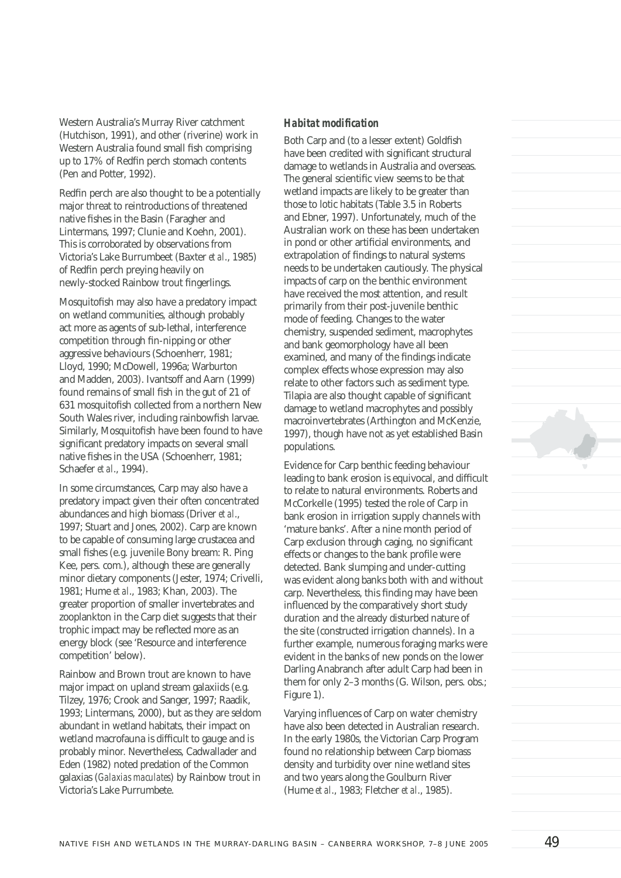Western Australia's Murray River catchment (Hutchison, 1991), and other (riverine) work in Western Australia found small fish comprising up to 17% of Redfin perch stomach contents (Pen and Potter, 1992).

Redfin perch are also thought to be a potentially major threat to reintroductions of threatened native fishes in the Basin (Faragher and Lintermans, 1997; Clunie and Koehn, 2001). This is corroborated by observations from Victoria's Lake Burrumbeet (Baxter *et al*., 1985) of Redfin perch preving heavily on newly-stocked Rainbow trout fingerlings.

Mosquitofish may also have a predatory impact on wetland communities, although probably act more as agents of sub-lethal, interference competition through fin-nipping or other aggressive behaviours (Schoenherr, 1981; Lloyd, 1990; McDowell, 1996a; Warburton and Madden, 2003). Ivantsoff and Aarn (1999) found remains of small fish in the gut of 21 of 631 mosquitofish collected from a northern New South Wales river, including rainbowfish larvae. Similarly, Mosquitofish have been found to have significant predatory impacts on several small native fishes in the USA (Schoenherr, 1981; Schaefer *et al*., 1994).

In some circumstances, Carp may also have a predatory impact given their often concentrated abundances and high biomass (Driver *et al*., 1997; Stuart and Jones, 2002). Carp are known to be capable of consuming large crustacea and small fishes (e.g. juvenile Bony bream: R. Ping Kee, pers. com.), although these are generally minor dietary components (Jester, 1974; Crivelli, 1981; Hume *et al*., 1983; Khan, 2003). The greater proportion of smaller invertebrates and zooplankton in the Carp diet suggests that their trophic impact may be reflected more as an energy block (see 'Resource and interference competition' below).

Rainbow and Brown trout are known to have major impact on upland stream galaxiids (e.g. Tilzey, 1976; Crook and Sanger, 1997; Raadik, 1993; Lintermans, 2000), but as they are seldom abundant in wetland habitats, their impact on wetland macrofauna is difficult to gauge and is probably minor. Nevertheless, Cadwallader and Eden (1982) noted predation of the Common galaxias (*Galaxias maculates*) by Rainbow trout in Victoria's Lake Purrumbete.

### *Habitat modifi cation*

Both Carp and (to a lesser extent) Goldfish have been credited with significant structural damage to wetlands in Australia and overseas. The general scientific view seems to be that wetland impacts are likely to be greater than those to lotic habitats (Table 3.5 in Roberts and Ebner, 1997). Unfortunately, much of the Australian work on these has been undertaken in pond or other artificial environments, and extrapolation of findings to natural systems needs to be undertaken cautiously. The physical impacts of carp on the benthic environment have received the most attention, and result primarily from their post-juvenile benthic mode of feeding. Changes to the water chemistry, suspended sediment, macrophytes and bank geomorphology have all been examined, and many of the findings indicate complex effects whose expression may also relate to other factors such as sediment type. Tilapia are also thought capable of significant damage to wetland macrophytes and possibly macroinvertebrates (Arthington and McKenzie, 1997), though have not as yet established Basin populations.

Evidence for Carp benthic feeding behaviour leading to bank erosion is equivocal, and difficult to relate to natural environments. Roberts and McCorkelle (1995) tested the role of Carp in bank erosion in irrigation supply channels with 'mature banks'. After a nine month period of Carp exclusion through caging, no significant effects or changes to the bank profile were detected. Bank slumping and under-cutting was evident along banks both with and without carp. Nevertheless, this finding may have been influenced by the comparatively short study duration and the already disturbed nature of the site (constructed irrigation channels). In a further example, numerous foraging marks were evident in the banks of new ponds on the lower Darling Anabranch after adult Carp had been in them for only 2–3 months (G. Wilson, pers. obs.; Figure 1).

Varying influences of Carp on water chemistry have also been detected in Australian research. In the early 1980s, the Victorian Carp Program found no relationship between Carp biomass density and turbidity over nine wetland sites and two years along the Goulburn River (Hume *et al*., 1983; Fletcher *et al*., 1985).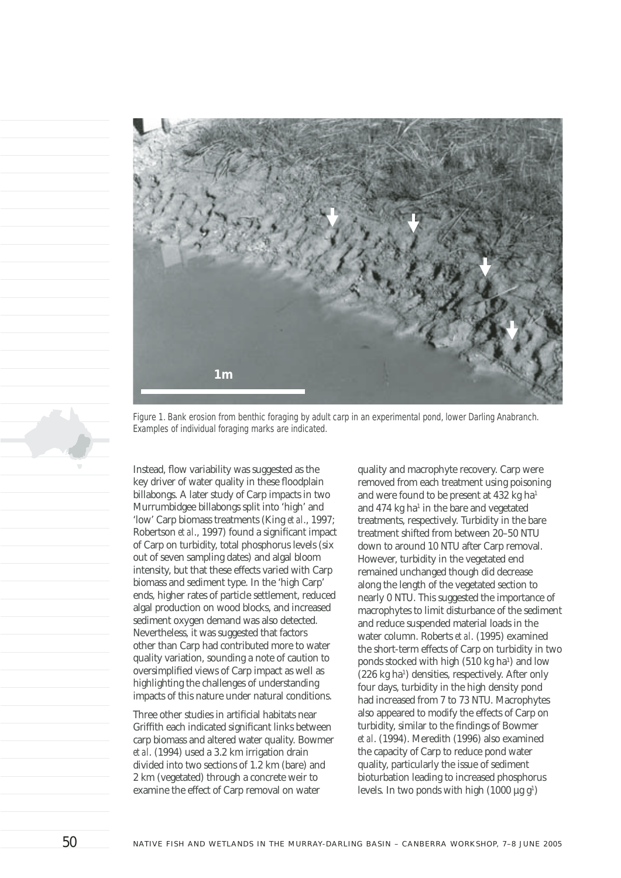

*Figure 1. Bank erosion from benthic foraging by adult carp in an experimental pond, lower Darling Anabranch. Examples of individual foraging marks are indicated.*

Instead, flow variability was suggested as the key driver of water quality in these floodplain billabongs. A later study of Carp impacts in two Murrumbidgee billabongs split into 'high' and 'low' Carp biomass treatments (King *et al*., 1997; Robertson *et al.*, 1997) found a significant impact of Carp on turbidity, total phosphorus levels (six out of seven sampling dates) and algal bloom intensity, but that these effects varied with Carp biomass and sediment type. In the 'high Carp' ends, higher rates of particle settlement, reduced algal production on wood blocks, and increased sediment oxygen demand was also detected. Nevertheless, it was suggested that factors other than Carp had contributed more to water quality variation, sounding a note of caution to oversimplified views of Carp impact as well as highlighting the challenges of understanding impacts of this nature under natural conditions.

Three other studies in artificial habitats near Griffith each indicated significant links between carp biomass and altered water quality. Bowmer *et al*. (1994) used a 3.2 km irrigation drain divided into two sections of 1.2 km (bare) and 2 km (vegetated) through a concrete weir to examine the effect of Carp removal on water

quality and macrophyte recovery. Carp were removed from each treatment using poisoning and were found to be present at 432 kg ha<sup>1</sup> and  $474$  kg ha<sup>1</sup> in the bare and vegetated treatments, respectively. Turbidity in the bare treatment shifted from between 20–50 NTU down to around 10 NTU after Carp removal. However, turbidity in the vegetated end remained unchanged though did decrease along the length of the vegetated section to nearly 0 NTU. This suggested the importance of macrophytes to limit disturbance of the sediment and reduce suspended material loads in the water column. Roberts *et al*. (1995) examined the short-term effects of Carp on turbidity in two ponds stocked with high  $(510 \text{ kg ha}^1)$  and low (226 kg ha<sup>1</sup>) densities, respectively. After only four days, turbidity in the high density pond had increased from 7 to 73 NTU. Macrophytes also appeared to modify the effects of Carp on turbidity, similar to the findings of Bowmer *et al*. (1994). Meredith (1996) also examined the capacity of Carp to reduce pond water quality, particularly the issue of sediment bioturbation leading to increased phosphorus levels. In two ponds with high  $(1000 \mu g g<sup>1</sup>)$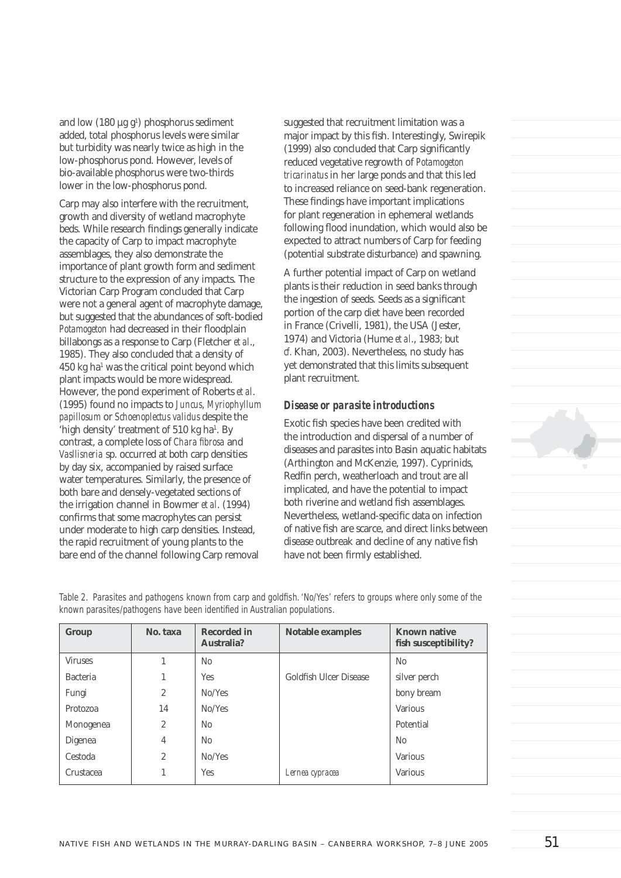and low  $(180 \mu g g)$  phosphorus sediment added, total phosphorus levels were similar but turbidity was nearly twice as high in the low-phosphorus pond. However, levels of bio-available phosphorus were two-thirds lower in the low-phosphorus pond.

Carp may also interfere with the recruitment, growth and diversity of wetland macrophyte beds. While research findings generally indicate the capacity of Carp to impact macrophyte assemblages, they also demonstrate the importance of plant growth form and sediment structure to the expression of any impacts. The Victorian Carp Program concluded that Carp were not a general agent of macrophyte damage, but suggested that the abundances of soft-bodied Potamogeton had decreased in their floodplain billabongs as a response to Carp (Fletcher *et al*., 1985). They also concluded that a density of 450 kg ha1 was the critical point beyond which plant impacts would be more widespread. However, the pond experiment of Roberts *et al*. (1995) found no impacts to *Juncus*, *Myriophyllum papillosum* or *Schoenoplectus validus* despite the 'high density' treatment of  $510 \text{ kg}$  ha<sup>1</sup>. By contrast, a complete loss of *Chara fibrosa* and *Vasllisneria* sp. occurred at both carp densities by day six, accompanied by raised surface water temperatures. Similarly, the presence of both bare and densely-vegetated sections of the irrigation channel in Bowmer *et al*. (1994) confirms that some macrophytes can persist under moderate to high carp densities. Instead, the rapid recruitment of young plants to the bare end of the channel following Carp removal

suggested that recruitment limitation was a major impact by this fish. Interestingly, Swirepik  $(1999)$  also concluded that Carp significantly reduced vegetative regrowth of *Potamogeton tricarinatus* in her large ponds and that this led to increased reliance on seed-bank regeneration. These findings have important implications for plant regeneration in ephemeral wetlands following flood inundation, which would also be expected to attract numbers of Carp for feeding (potential substrate disturbance) and spawning.

A further potential impact of Carp on wetland plants is their reduction in seed banks through the ingestion of seeds. Seeds as a significant portion of the carp diet have been recorded in France (Crivelli, 1981), the USA (Jester, 1974) and Victoria (Hume *et al*., 1983; but *cf.* Khan, 2003). Nevertheless, no study has yet demonstrated that this limits subsequent plant recruitment.

#### *Disease or parasite introductions*

Exotic fish species have been credited with the introduction and dispersal of a number of diseases and parasites into Basin aquatic habitats (Arthington and McKenzie, 1997). Cyprinids, Redfin perch, weatherloach and trout are all implicated, and have the potential to impact both riverine and wetland fish assemblages. Nevertheless, wetland-specific data on infection of native fish are scarce, and direct links between disease outbreak and decline of any native fish have not been firmly established.

Table 2. Parasites and pathogens known from carp and goldfish. 'No/Yes' refers to groups where only some of the known parasites/pathogens have been identified in Australian populations.

| Group           | No. taxa       | <b>Recorded in</b><br>Australia? | <b>Notable examples</b> | <b>Known native</b><br>fish susceptibility? |
|-----------------|----------------|----------------------------------|-------------------------|---------------------------------------------|
| <b>Viruses</b>  | 1              | N <sub>0</sub>                   |                         | N <sub>0</sub>                              |
| <b>Bacteria</b> | 1              | Yes.                             | Goldfish Ulcer Disease  | silver perch                                |
| Fungi           | $\overline{c}$ | No/Yes                           |                         | bony bream                                  |
| Protozoa        | 14             | No/Yes                           |                         | <b>Various</b>                              |
| Monogenea       | $\overline{c}$ | N <sub>0</sub>                   |                         | Potential                                   |
| Digenea         | 4              | No                               |                         | N <sub>0</sub>                              |
| Cestoda         | $\overline{2}$ | No/Yes                           |                         | <b>Various</b>                              |
| Crustacea       |                | Yes                              | Lernea cypracea         | <b>Various</b>                              |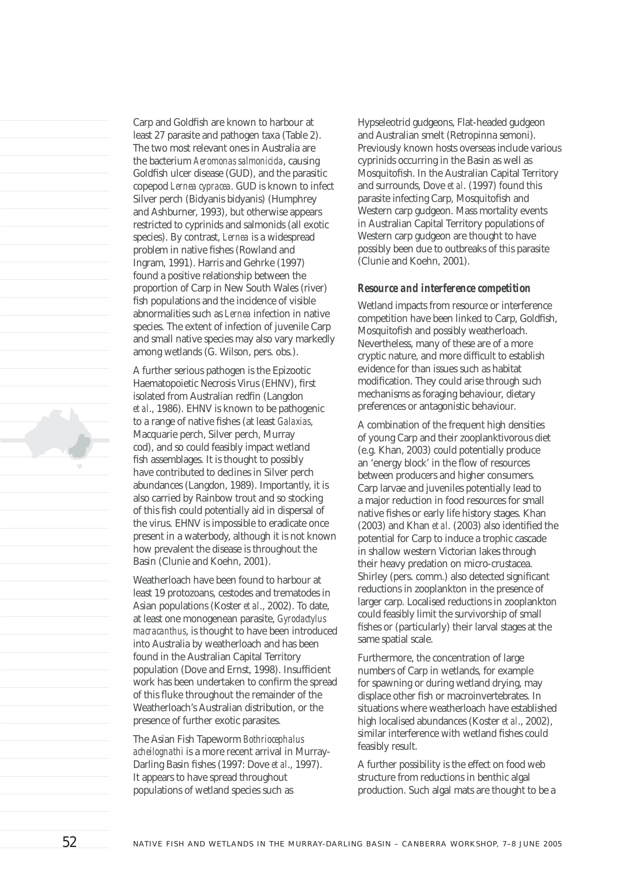Carp and Goldfish are known to harbour at least 27 parasite and pathogen taxa (Table 2). The two most relevant ones in Australia are the bacterium *Aeromonas salmonicida*, causing Goldfish ulcer disease (GUD), and the parasitic copepod *Lernea cypracea*. GUD is known to infect Silver perch (Bidyanis bidyanis) (Humphrey and Ashburner, 1993), but otherwise appears restricted to cyprinids and salmonids (all exotic species). By contrast, *Lernea* is a widespread problem in native fishes (Rowland and Ingram, 1991). Harris and Gehrke (1997) found a positive relationship between the proportion of Carp in New South Wales (river) fish populations and the incidence of visible abnormalities such as *Lernea* infection in native species. The extent of infection of juvenile Carp and small native species may also vary markedly among wetlands (G. Wilson, pers. obs.). A further serious pathogen is the Epizootic Haematopoietic Necrosis Virus (EHNV), first isolated from Australian redfin (Langdon *et al*., 1986). EHNV is known to be pathogenic to a range of native fishes (at least *Galaxias*, Macquarie perch, Silver perch, Murray cod), and so could feasibly impact wetland

fish assemblages. It is thought to possibly have contributed to declines in Silver perch abundances (Langdon, 1989). Importantly, it is also carried by Rainbow trout and so stocking of this fish could potentially aid in dispersal of the virus. EHNV is impossible to eradicate once present in a waterbody, although it is not known how prevalent the disease is throughout the Basin (Clunie and Koehn, 2001).

Weatherloach have been found to harbour at least 19 protozoans, cestodes and trematodes in Asian populations (Koster *et al*., 2002). To date, at least one monogenean parasite, *Gyrodactylus macracanthus*, is thought to have been introduced into Australia by weatherloach and has been found in the Australian Capital Territory population (Dove and Ernst, 1998). Insufficient work has been undertaken to confirm the spread of this fluke throughout the remainder of the Weatherloach's Australian distribution, or the presence of further exotic parasites.

The Asian Fish Tapeworm *Bothriocephalus acheilognathi* is a more recent arrival in Murray-Darling Basin fishes (1997: Dove et al., 1997). It appears to have spread throughout populations of wetland species such as

Hypseleotrid gudgeons, Flat-headed gudgeon and Australian smelt (Retropinna semoni). Previously known hosts overseas include various cyprinids occurring in the Basin as well as Mosquitofish. In the Australian Capital Territory and surrounds, Dove *et al*. (1997) found this parasite infecting Carp, Mosquitofish and Western carp gudgeon. Mass mortality events in Australian Capital Territory populations of Western carp gudgeon are thought to have possibly been due to outbreaks of this parasite (Clunie and Koehn, 2001).

#### *Resource and interference competition*

Wetland impacts from resource or interference competition have been linked to Carp, Goldfish, Mosquitofish and possibly weatherloach. Nevertheless, many of these are of a more cryptic nature, and more difficult to establish evidence for than issues such as habitat modification. They could arise through such mechanisms as foraging behaviour, dietary preferences or antagonistic behaviour.

A combination of the frequent high densities of young Carp and their zooplanktivorous diet (e.g. Khan, 2003) could potentially produce an 'energy block' in the flow of resources between producers and higher consumers. Carp larvae and juveniles potentially lead to a major reduction in food resources for small native fishes or early life history stages. Khan  $(2003)$  and Khan  $et$  *al.*  $(2003)$  also identified the potential for Carp to induce a trophic cascade in shallow western Victorian lakes through their heavy predation on micro-crustacea. Shirley (pers. comm.) also detected significant reductions in zooplankton in the presence of larger carp. Localised reductions in zooplankton could feasibly limit the survivorship of small fishes or (particularly) their larval stages at the same spatial scale.

Furthermore, the concentration of large numbers of Carp in wetlands, for example for spawning or during wetland drying, may displace other fish or macroinvertebrates. In situations where weatherloach have established high localised abundances (Koster *et al*., 2002), similar interference with wetland fishes could feasibly result.

A further possibility is the effect on food web structure from reductions in benthic algal production. Such algal mats are thought to be a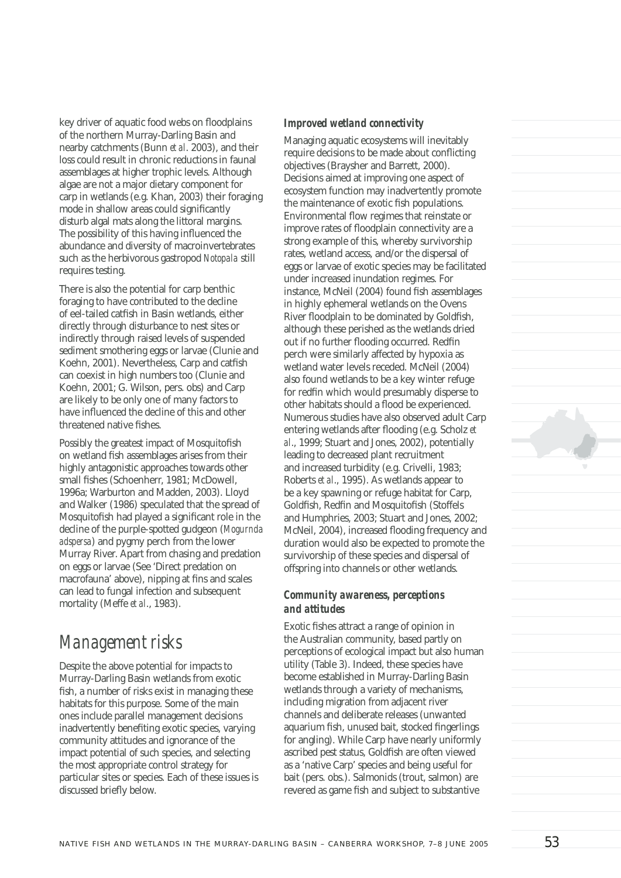key driver of aquatic food webs on floodplains of the northern Murray-Darling Basin and nearby catchments (Bunn *et al*. 2003), and their loss could result in chronic reductions in faunal assemblages at higher trophic levels. Although algae are not a major dietary component for carp in wetlands (e.g. Khan, 2003) their foraging mode in shallow areas could significantly disturb algal mats along the littoral margins. The possibility of this having influenced the abundance and diversity of macroinvertebrates such as the herbivorous gastropod *Notopala* still requires testing.

There is also the potential for carp benthic foraging to have contributed to the decline of eel-tailed catfish in Basin wetlands, either directly through disturbance to nest sites or indirectly through raised levels of suspended sediment smothering eggs or larvae (Clunie and Koehn, 2001). Nevertheless, Carp and catfish can coexist in high numbers too (Clunie and Koehn, 2001; G. Wilson, pers. obs) and Carp are likely to be only one of many factors to have influenced the decline of this and other threatened native fishes.

Possibly the greatest impact of Mosquitofish on wetland fish assemblages arises from their highly antagonistic approaches towards other small fishes (Schoenherr, 1981; McDowell, 1996a; Warburton and Madden, 2003). Lloyd and Walker (1986) speculated that the spread of Mosquitofish had played a significant role in the decline of the purple-spotted gudgeon (*Mogurnda adspersa*) and pygmy perch from the lower Murray River. Apart from chasing and predation on eggs or larvae (See 'Direct predation on macrofauna' above), nipping at fins and scales can lead to fungal infection and subsequent mortality (Meffe *et al*., 1983).

### *Management risks*

Despite the above potential for impacts to Murray-Darling Basin wetlands from exotic fish, a number of risks exist in managing these habitats for this purpose. Some of the main ones include parallel management decisions inadvertently benefiting exotic species, varying community attitudes and ignorance of the impact potential of such species, and selecting the most appropriate control strategy for particular sites or species. Each of these issues is discussed briefly below.

#### *Improved wetland connectivity*

Managing aquatic ecosystems will inevitably require decisions to be made about conflicting objectives (Braysher and Barrett, 2000). Decisions aimed at improving one aspect of ecosystem function may inadvertently promote the maintenance of exotic fish populations. Environmental flow regimes that reinstate or improve rates of floodplain connectivity are a strong example of this, whereby survivorship rates, wetland access, and/or the dispersal of eggs or larvae of exotic species may be facilitated under increased inundation regimes. For instance, McNeil (2004) found fish assemblages in highly ephemeral wetlands on the Ovens River floodplain to be dominated by Goldfish, although these perished as the wetlands dried out if no further flooding occurred. Redfin perch were similarly affected by hypoxia as wetland water levels receded. McNeil (2004) also found wetlands to be a key winter refuge for redfin which would presumably disperse to other habitats should a flood be experienced. Numerous studies have also observed adult Carp entering wetlands after flooding (e.g. Scholz *et al*., 1999; Stuart and Jones, 2002), potentially leading to decreased plant recruitment and increased turbidity (e.g. Crivelli, 1983; Roberts *et al*., 1995). As wetlands appear to be a key spawning or refuge habitat for Carp, Goldfish, Redfin and Mosquitofish (Stoffels and Humphries, 2003; Stuart and Jones, 2002; McNeil, 2004), increased flooding frequency and duration would also be expected to promote the survivorship of these species and dispersal of offspring into channels or other wetlands.

### *Community awareness, perceptions and attitudes*

Exotic fishes attract a range of opinion in the Australian community, based partly on perceptions of ecological impact but also human utility (Table 3). Indeed, these species have become established in Murray-Darling Basin wetlands through a variety of mechanisms, including migration from adjacent river channels and deliberate releases (unwanted aquarium fish, unused bait, stocked fingerlings for angling). While Carp have nearly uniformly ascribed pest status, Goldfish are often viewed as a 'native Carp' species and being useful for bait (pers. obs.). Salmonids (trout, salmon) are revered as game fish and subject to substantive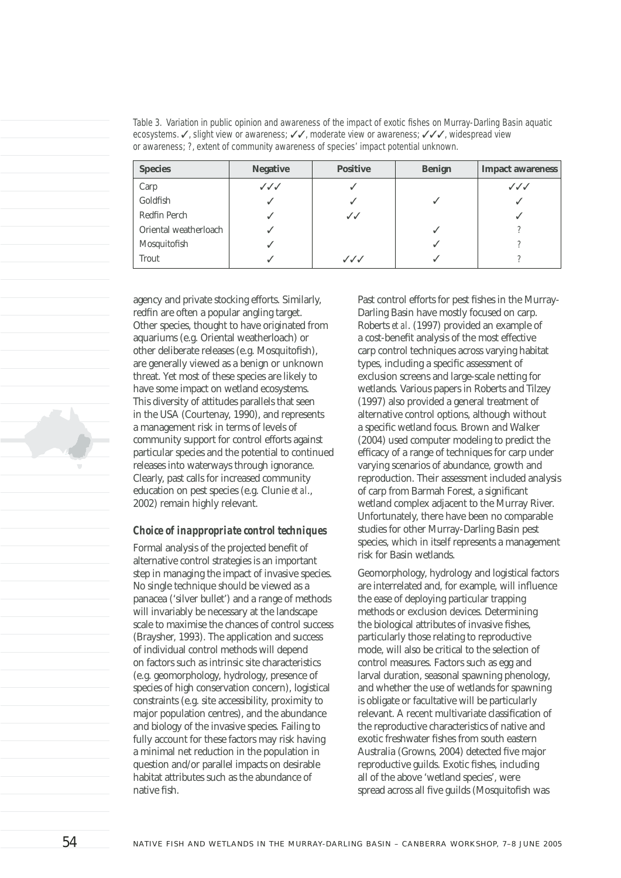| <b>Species</b>        | <b>Negative</b>        | <b>Positive</b> | <b>Benign</b> | <b>Impact awareness</b> |
|-----------------------|------------------------|-----------------|---------------|-------------------------|
| Carp                  | $\checkmark\checkmark$ |                 |               | $\checkmark\checkmark$  |
| Goldfish              |                        |                 | ✓             |                         |
| Redfin Perch          |                        | $\checkmark$    |               |                         |
| Oriental weatherloach |                        |                 | ✓             |                         |
| Mosquitofish          |                        |                 |               |                         |
| Trout                 |                        | ノノノ             |               |                         |

*Table 3. Variation in public opinion and awareness of the impact of exotic fi shes on Murray-Darling Basin aquatic ecosystems.* ✓*, slight view or awareness;* ✓✓*, moderate view or awareness;* ✓✓✓*, widespread view or awareness; ?, extent of community awareness of species' impact potential unknown.*

agency and private stocking efforts. Similarly, redfin are often a popular angling target. Other species, thought to have originated from aquariums (e.g. Oriental weatherloach) or other deliberate releases (e.g. Mosquitofish), are generally viewed as a benign or unknown threat. Yet most of these species are likely to have some impact on wetland ecosystems. This diversity of attitudes parallels that seen in the USA (Courtenay, 1990), and represents a management risk in terms of levels of community support for control efforts against particular species and the potential to continued releases into waterways through ignorance. Clearly, past calls for increased community education on pest species (e.g. Clunie *et al*., 2002) remain highly relevant.

### *Choice of inappropriate control techniques*

Formal analysis of the projected benefit of alternative control strategies is an important step in managing the impact of invasive species. No single technique should be viewed as a panacea ('silver bullet') and a range of methods will invariably be necessary at the landscape scale to maximise the chances of control success (Braysher, 1993). The application and success of individual control methods will depend on factors such as intrinsic site characteristics (e.g. geomorphology, hydrology, presence of species of high conservation concern), logistical constraints (e.g. site accessibility, proximity to major population centres), and the abundance and biology of the invasive species. Failing to fully account for these factors may risk having a minimal net reduction in the population in question and/or parallel impacts on desirable habitat attributes such as the abundance of native fish.

Past control efforts for pest fishes in the Murray-Darling Basin have mostly focused on carp. Roberts *et al*. (1997) provided an example of a cost-benefit analysis of the most effective carp control techniques across varying habitat types, including a specific assessment of exclusion screens and large-scale netting for wetlands. Various papers in Roberts and Tilzey (1997) also provided a general treatment of alternative control options, although without a specific wetland focus. Brown and Walker (2004) used computer modeling to predict the efficacy of a range of techniques for carp under varying scenarios of abundance, growth and reproduction. Their assessment included analysis of carp from Barmah Forest, a significant wetland complex adjacent to the Murray River. Unfortunately, there have been no comparable studies for other Murray-Darling Basin pest species, which in itself represents a management risk for Basin wetlands.

Geomorphology, hydrology and logistical factors are interrelated and, for example, will influence the ease of deploying particular trapping methods or exclusion devices. Determining the biological attributes of invasive fishes. particularly those relating to reproductive mode, will also be critical to the selection of control measures. Factors such as egg and larval duration, seasonal spawning phenology, and whether the use of wetlands for spawning is obligate or facultative will be particularly relevant. A recent multivariate classification of the reproductive characteristics of native and exotic freshwater fishes from south eastern Australia (Growns, 2004) detected five major reproductive guilds. Exotic fishes, including all of the above 'wetland species', were spread across all five guilds (Mosquitofish was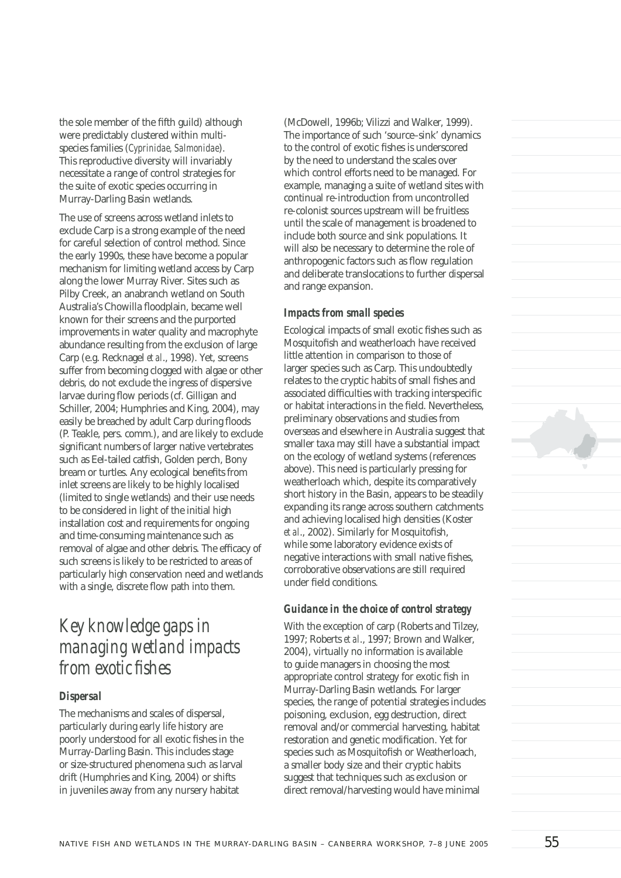the sole member of the fifth guild) although were predictably clustered within multispecies families (*Cyprinidae, Salmonidae*). This reproductive diversity will invariably necessitate a range of control strategies for the suite of exotic species occurring in Murray-Darling Basin wetlands.

The use of screens across wetland inlets to exclude Carp is a strong example of the need for careful selection of control method. Since the early 1990s, these have become a popular mechanism for limiting wetland access by Carp along the lower Murray River. Sites such as Pilby Creek, an anabranch wetland on South Australia's Chowilla floodplain, became well known for their screens and the purported improvements in water quality and macrophyte abundance resulting from the exclusion of large Carp (e.g. Recknagel *et al*., 1998). Yet, screens suffer from becoming clogged with algae or other debris, do not exclude the ingress of dispersive larvae during flow periods (cf. Gilligan and Schiller, 2004; Humphries and King, 2004), may easily be breached by adult Carp during floods (P. Teakle, pers. comm.), and are likely to exclude significant numbers of larger native vertebrates such as Eel-tailed catfish, Golden perch, Bony bream or turtles. Any ecological benefits from inlet screens are likely to be highly localised (limited to single wetlands) and their use needs to be considered in light of the initial high installation cost and requirements for ongoing and time-consuming maintenance such as removal of algae and other debris. The efficacy of such screens is likely to be restricted to areas of particularly high conservation need and wetlands with a single, discrete flow path into them.

## *Key knowledge gaps in managing wetland impacts from exotic fishes*

### *Dispersal*

The mechanisms and scales of dispersal, particularly during early life history are poorly understood for all exotic fishes in the Murray-Darling Basin. This includes stage or size-structured phenomena such as larval drift (Humphries and King, 2004) or shifts in juveniles away from any nursery habitat

(McDowell, 1996b; Vilizzi and Walker, 1999). The importance of such 'source–sink' dynamics to the control of exotic fishes is underscored by the need to understand the scales over which control efforts need to be managed. For example, managing a suite of wetland sites with continual re-introduction from uncontrolled re-colonist sources upstream will be fruitless until the scale of management is broadened to include both source and sink populations. It will also be necessary to determine the role of anthropogenic factors such as flow regulation and deliberate translocations to further dispersal and range expansion.

### *Impacts from small species*

Ecological impacts of small exotic fishes such as Mosquitofish and weatherloach have received little attention in comparison to those of larger species such as Carp. This undoubtedly relates to the cryptic habits of small fishes and associated difficulties with tracking interspecific or habitat interactions in the field. Nevertheless, preliminary observations and studies from overseas and elsewhere in Australia suggest that smaller taxa may still have a substantial impact on the ecology of wetland systems (references above). This need is particularly pressing for weatherloach which, despite its comparatively short history in the Basin, appears to be steadily expanding its range across southern catchments and achieving localised high densities (Koster *et al.*, 2002). Similarly for Mosquitofish, while some laboratory evidence exists of negative interactions with small native fishes, corroborative observations are still required under field conditions.

### *Guidance in the choice of control strategy*

With the exception of carp (Roberts and Tilzey, 1997; Roberts *et al*., 1997; Brown and Walker, 2004), virtually no information is available to guide managers in choosing the most appropriate control strategy for exotic fish in Murray-Darling Basin wetlands. For larger species, the range of potential strategies includes poisoning, exclusion, egg destruction, direct removal and/or commercial harvesting, habitat restoration and genetic modification. Yet for species such as Mosquitofish or Weatherloach, a smaller body size and their cryptic habits suggest that techniques such as exclusion or direct removal/harvesting would have minimal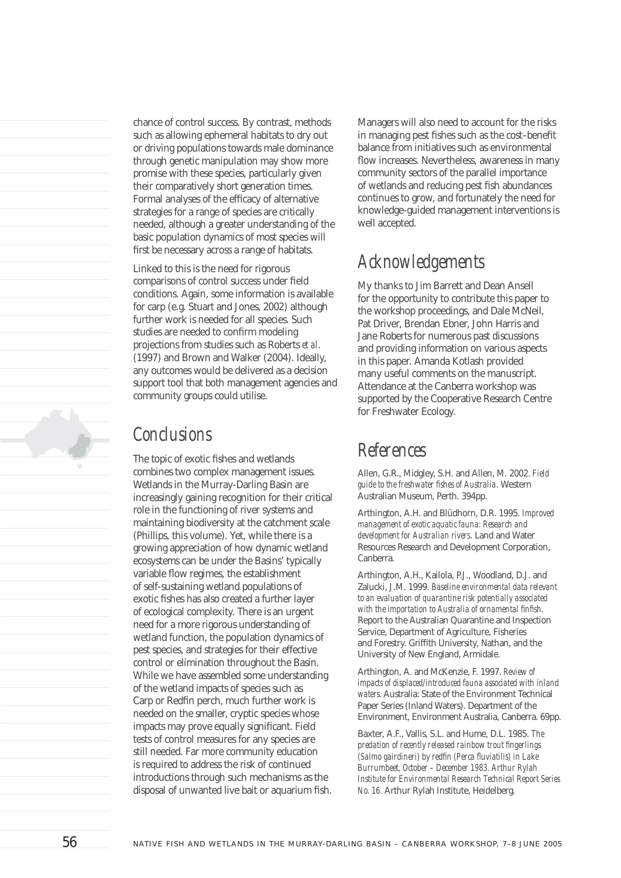chance of control success. By contrast, methods such as allowing ephemeral habitats to dry out or driving populations towards male dominance through genetic manipulation may show more promise with these species, particularly given their comparatively short generation times. Formal analyses of the efficacy of alternative strategies for a range of species are critically needed, although a greater understanding of the basic population dynamics of most species will first be necessary across a range of habitats.

Linked to this is the need for rigorous comparisons of control success under field conditions. Again, some information is available for carp (e.g. Stuart and Jones, 2002) although further work is needed for all species. Such studies are needed to confirm modeling projections from studies such as Roberts *et al*. (1997) and Brown and Walker (2004). Ideally, any outcomes would be delivered as a decision support tool that both management agencies and community groups could utilise.

## *Conclusions*

The topic of exotic fishes and wetlands combines two complex management issues. Wetlands in the Murray-Darling Basin are increasingly gaining recognition for their critical role in the functioning of river systems and maintaining biodiversity at the catchment scale (Phillips, this volume). Yet, while there is a growing appreciation of how dynamic wetland ecosystems can be under the Basins' typically variable flow regimes, the establishment of self-sustaining wetland populations of exotic fishes has also created a further layer of ecological complexity. There is an urgent need for a more rigorous understanding of wetland function, the population dynamics of pest species, and strategies for their effective control or elimination throughout the Basin. While we have assembled some understanding of the wetland impacts of species such as Carp or Redfin perch, much further work is needed on the smaller, cryptic species whose impacts may prove equally significant. Field tests of control measures for any species are still needed. Far more community education is required to address the risk of continued introductions through such mechanisms as the disposal of unwanted live bait or aquarium fish.

Managers will also need to account for the risks in managing pest fishes such as the cost-benefit balance from initiatives such as environmental flow increases. Nevertheless, awareness in many community sectors of the parallel importance of wetlands and reducing pest fish abundances continues to grow, and fortunately the need for knowledge-guided management interventions is well accepted.

# *Acknowledgements*

My thanks to Jim Barrett and Dean Ansell for the opportunity to contribute this paper to the workshop proceedings, and Dale McNeil, Pat Driver, Brendan Ebner, John Harris and Jane Roberts for numerous past discussions and providing information on various aspects in this paper. Amanda Kotlash provided many useful comments on the manuscript. Attendance at the Canberra workshop was supported by the Cooperative Research Centre for Freshwater Ecology.

### *References*

Allen, G.R., Midgley, S.H. and Allen, M. 2002. *Field guide to the freshwater fi shes of Australia*. Western Australian Museum, Perth. 394pp.

Arthington, A.H. and Blüdhorn, D.R. 1995. *Improved management of exotic aquatic fauna: Research and development for Australian rivers*. Land and Water Resources Research and Development Corporation, Canberra.

Arthington, A.H., Kailola, P.J., Woodland, D.J. and Zalucki, J.M. 1999. *Baseline environmental data relevant to an evaluation of quarantine risk potentially associated*  with the importation to Australia of ornamental finfish. Report to the Australian Quarantine and Inspection Service, Department of Agriculture, Fisheries and Forestry. Griffith University, Nathan, and the University of New England, Armidale.

Arthington, A. and McKenzie, F. 1997. *Review of impacts of displaced/introduced fauna associated with inland waters.* Australia: State of the Environment Technical Paper Series (Inland Waters). Department of the Environment, Environment Australia, Canberra. 69pp.

Baxter, A.F., Vallis, S.L. and Hume, D.L. 1985. *The predation of recently released rainbow trout fi ngerlings (Salmo gairdineri) by redfin (Perca fluviatilis) in Lake Burrumbeet, October – December 1983. Arthur Rylah Institute for Environmental Research Technical Report Series No. 16.* Arthur Rylah Institute, Heidelberg.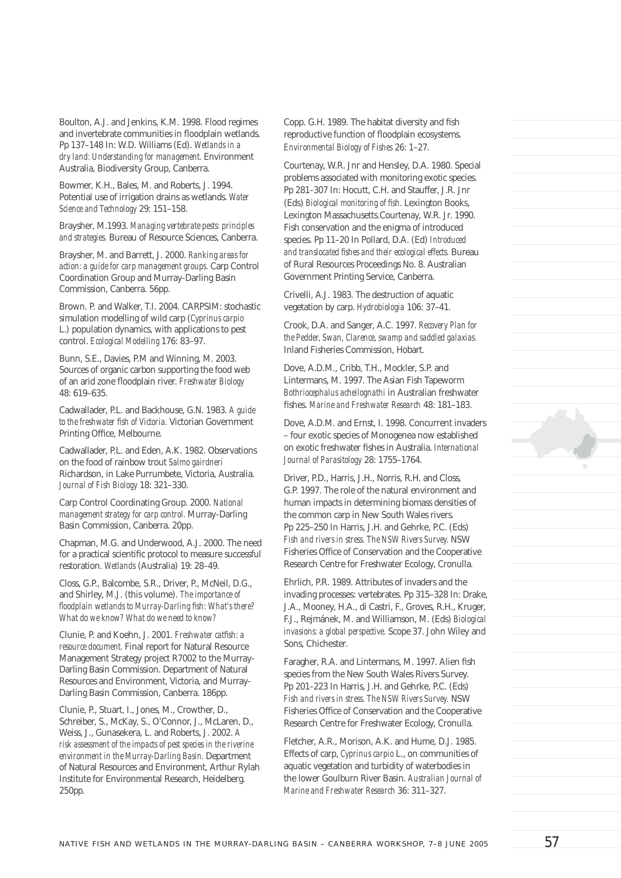Boulton, A.J. and Jenkins, K.M. 1998. Flood regimes and invertebrate communities in floodplain wetlands. Pp 137–148 In: W.D. Williams (Ed). *Wetlands in a dry land: Understanding for management.* Environment Australia, Biodiversity Group, Canberra.

Bowmer, K.H., Bales, M. and Roberts, J. 1994. Potential use of irrigation drains as wetlands. *Water Science and Technology* 29: 151–158.

Braysher, M.1993. *Managing vertebrate pests: principles and strategies.* Bureau of Resource Sciences, Canberra.

Braysher, M. and Barrett, J. 2000. *Ranking areas for action: a guide for carp management groups.* Carp Control Coordination Group and Murray-Darling Basin Commission, Canberra. 56pp.

Brown. P. and Walker, T.I. 2004. CARPSIM: stochastic simulation modelling of wild carp (*Cyprinus carpio*  L.) population dynamics, with applications to pest control. *Ecological Modelling* 176: 83–97.

Bunn, S.E., Davies, P.M and Winning, M. 2003. Sources of organic carbon supporting the food web of an arid zone floodplain river. **Freshwater Biology** 48: 619–635.

Cadwallader, P.L. and Backhouse, G.N. 1983. *A guide to the freshwater fish of Victoria.* Victorian Government Printing Office, Melbourne.

Cadwallader, P.L. and Eden, A.K. 1982. Observations on the food of rainbow trout *Salmo gairdneri* Richardson, in Lake Purrumbete, Victoria, Australia. *Journal of Fish Biology* 18: 321–330.

Carp Control Coordinating Group. 2000. *National management strategy for carp control.* Murray-Darling Basin Commission, Canberra. 20pp.

Chapman, M.G. and Underwood, A.J. 2000. The need for a practical scientific protocol to measure successful restoration. *Wetlands* (Australia) 19: 28–49.

Closs, G.P., Balcombe, S.R., Driver, P., McNeil, D.G., and Shirley, M.J. (this volume). *The importance of floodplain wetlands to Murray-Darling fish: What's there? What do we know? What do we need to know?*

Clunie, P. and Koehn, J. 2001. *Freshwater catfish: a resource document.* Final report for Natural Resource Management Strategy project R7002 to the Murray-Darling Basin Commission. Department of Natural Resources and Environment, Victoria, and Murray-Darling Basin Commission, Canberra. 186pp.

Clunie, P., Stuart, I., Jones, M., Crowther, D., Schreiber, S., McKay, S., O'Connor, J., McLaren, D., Weiss, J., Gunasekera, L. and Roberts, J. 2002. *A risk assessment of the impacts of pest species in the riverine environment in the Murray-Darling Basin.* Department of Natural Resources and Environment, Arthur Rylah Institute for Environmental Research, Heidelberg. 250pp.

Copp. G.H. 1989. The habitat diversity and fish reproductive function of floodplain ecosystems. *Environmental Biology of Fishes* 26: 1–27.

Courtenay, W.R. Jnr and Hensley, D.A. 1980. Special problems associated with monitoring exotic species. Pp 281–307 In: Hocutt, C.H. and Stauffer, J.R. Jnr (Eds) *Biological monitoring of fish*. Lexington Books, Lexington Massachusetts.Courtenay, W.R. Jr. 1990. Fish conservation and the enigma of introduced species. Pp 11–20 In Pollard, D.A. (Ed) *Introduced and translocated fi shes and their ecological effects.* Bureau of Rural Resources Proceedings No. 8. Australian Government Printing Service, Canberra.

Crivelli, A.J. 1983. The destruction of aquatic vegetation by carp. *Hydrobiologia* 106: 37–41.

Crook, D.A. and Sanger, A.C. 1997. *Recovery Plan for the Pedder, Swan, Clarence, swamp and saddled galaxias.* Inland Fisheries Commission, Hobart.

Dove, A.D.M., Cribb, T.H., Mockler, S.P. and Lintermans, M. 1997. The Asian Fish Tapeworm *Bothriocephalus acheilognathi* in Australian freshwater fishes. *Marine and Freshwater Research* 48: 181-183.

Dove, A.D.M. and Ernst, I. 1998. Concurrent invaders – four exotic species of Monogenea now established on exotic freshwater fi shes in Australia. *International Journal of Parasitology* 28: 1755–1764.

Driver, P.D., Harris, J.H., Norris, R.H. and Closs, G.P. 1997. The role of the natural environment and human impacts in determining biomass densities of the common carp in New South Wales rivers. Pp 225–250 In Harris, J.H. and Gehrke, P.C. (Eds) *Fish and rivers in stress. The NSW Rivers Survey.* NSW Fisheries Office of Conservation and the Cooperative Research Centre for Freshwater Ecology, Cronulla.

Ehrlich, P.R. 1989. Attributes of invaders and the invading processes: vertebrates. Pp 315–328 In: Drake, J.A., Mooney, H.A., di Castri, F., Groves, R.H., Kruger, F.J., Rejmánek, M. and Williamson, M. (Eds) *Biological invasions: a global perspective.* Scope 37. John Wiley and Sons, Chichester.

Faragher, R.A. and Lintermans, M. 1997. Alien fish species from the New South Wales Rivers Survey. Pp 201–223 In Harris, J.H. and Gehrke, P.C. (Eds) *Fish and rivers in stress. The NSW Rivers Survey.* NSW Fisheries Office of Conservation and the Cooperative Research Centre for Freshwater Ecology, Cronulla.

Fletcher, A.R., Morison, A.K. and Hume, D.J. 1985. Effects of carp, *Cyprinus carpio* L., on communities of aquatic vegetation and turbidity of waterbodies in the lower Goulburn River Basin. *Australian Journal of Marine and Freshwater Research* 36: 311–327.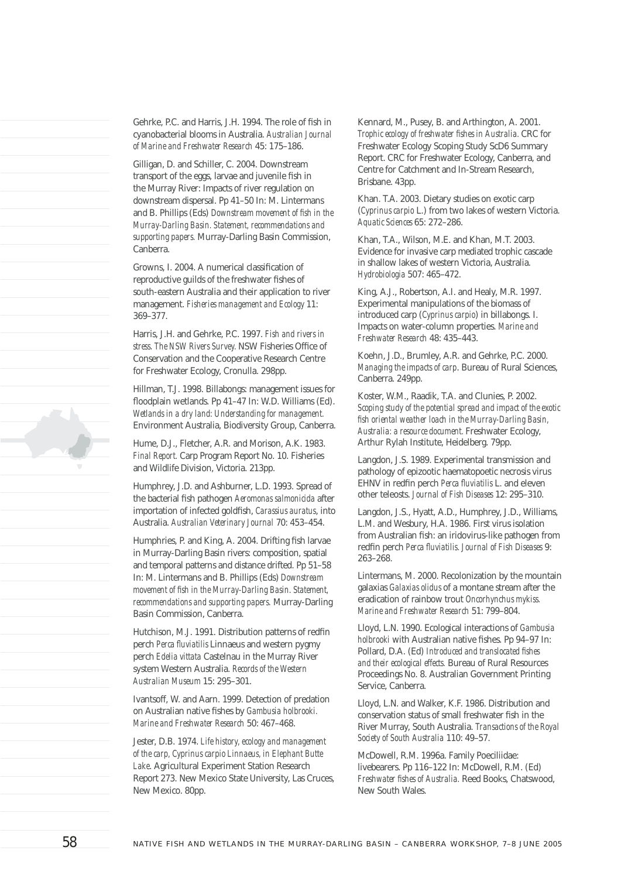Gehrke, P.C. and Harris, J.H. 1994. The role of fish in cyanobacterial blooms in Australia. *Australian Journal of Marine and Freshwater Research* 45: 175–186.

Gilligan, D. and Schiller, C. 2004. Downstream transport of the eggs, larvae and juvenile fish in the Murray River: Impacts of river regulation on downstream dispersal. Pp 41–50 In: M. Lintermans and B. Phillips (Eds) *Downstream movement of fish in the Murray-Darling Basin. Statement, recommendations and supporting papers.* Murray-Darling Basin Commission, Canberra.

Growns, I. 2004. A numerical classification of reproductive guilds of the freshwater fishes of south-eastern Australia and their application to river management. *Fisheries management and Ecology* 11: 369–377.

Harris, J.H. and Gehrke, P.C. 1997. *Fish and rivers in*  stress. The NSW Rivers Survey. NSW Fisheries Office of Conservation and the Cooperative Research Centre for Freshwater Ecology, Cronulla. 298pp.

Hillman, T.J. 1998. Billabongs: management issues for floodplain wetlands. Pp 41-47 In: W.D. Williams (Ed). *Wetlands in a dry land: Understanding for management.*  Environment Australia, Biodiversity Group, Canberra.

Hume, D.J., Fletcher, A.R. and Morison, A.K. 1983. *Final Report.* Carp Program Report No. 10. Fisheries and Wildlife Division, Victoria. 213pp.

Humphrey, J.D. and Ashburner, L.D. 1993. Spread of the bacterial fish pathogen *Aeromonas salmonicida* after importation of infected goldfish, *Carassius auratus*, into Australia. *Australian Veterinary Journal* 70: 453–454.

Humphries, P. and King, A. 2004. Drifting fish larvae in Murray-Darling Basin rivers: composition, spatial and temporal patterns and distance drifted. Pp 51–58 In: M. Lintermans and B. Phillips (Eds) *Downstream*  movement of fish in the Murray-Darling Basin. Statement, *recommendations and supporting papers.* Murray-Darling Basin Commission, Canberra.

Hutchison, M.J. 1991. Distribution patterns of redfin perch Perca fluviatilis Linnaeus and western pygmy perch *Edelia vittata* Castelnau in the Murray River system Western Australia. *Records of the Western Australian Museum* 15: 295–301.

Ivantsoff, W. and Aarn. 1999. Detection of predation on Australian native fishes by *Gambusia holbrooki. Marine and Freshwater Research* 50: 467–468.

Jester, D.B. 1974. *Life history, ecology and management of the carp, Cyprinus carpio Linnaeus, in Elephant Butte Lake*. Agricultural Experiment Station Research Report 273. New Mexico State University, Las Cruces, New Mexico. 80pp.

Kennard, M., Pusey, B. and Arthington, A. 2001. *Trophic ecology of freshwater fishes in Australia.* CRC for Freshwater Ecology Scoping Study ScD6 Summary Report. CRC for Freshwater Ecology, Canberra, and Centre for Catchment and In-Stream Research, Brisbane. 43pp.

Khan. T.A. 2003. Dietary studies on exotic carp (*Cyprinus carpio* L.) from two lakes of western Victoria. *Aquatic Sciences* 65: 272–286.

Khan, T.A., Wilson, M.E. and Khan, M.T. 2003. Evidence for invasive carp mediated trophic cascade in shallow lakes of western Victoria, Australia. *Hydrobiologia* 507: 465–472.

King, A.J., Robertson, A.I. and Healy, M.R. 1997. Experimental manipulations of the biomass of introduced carp (*Cyprinus carpio*) in billabongs. I. Impacts on water-column properties. *Marine and Freshwater Research* 48: 435–443.

Koehn, J.D., Brumley, A.R. and Gehrke, P.C. 2000. *Managing the impacts of carp*. Bureau of Rural Sciences, Canberra. 249pp.

Koster, W.M., Raadik, T.A. and Clunies, P. 2002. *Scoping study of the potential spread and impact of the exotic fi sh oriental weather loach in the Murray-Darling Basin, Australia: a resource document.* Freshwater Ecology, Arthur Rylah Institute, Heidelberg. 79pp.

Langdon, J.S. 1989. Experimental transmission and pathology of epizootic haematopoetic necrosis virus EHNV in redfin perch *Perca fluviatilis* L. and eleven other teleosts. *Journal of Fish Diseases* 12: 295–310.

Langdon, J.S., Hyatt, A.D., Humphrey, J.D., Williams, L.M. and Wesbury, H.A. 1986. First virus isolation from Australian fish: an iridovirus-like pathogen from redfin perch *Perca fluviatilis. Journal of Fish Diseases* 9: 263–268.

Lintermans, M. 2000. Recolonization by the mountain galaxias *Galaxias olidus* of a montane stream after the eradication of rainbow trout *Oncorhynchus mykiss. Marine and Freshwater Research* 51: 799–804.

Lloyd, L.N. 1990. Ecological interactions of *Gambusia holbrooki* with Australian native fishes. Pp 94-97 In: Pollard, D.A. (Ed) *Introduced and translocated fishes and their ecological effects.* Bureau of Rural Resources Proceedings No. 8. Australian Government Printing Service, Canberra.

Lloyd, L.N. and Walker, K.F. 1986. Distribution and conservation status of small freshwater fish in the River Murray, South Australia. *Transactions of the Royal Society of South Australia* 110: 49–57.

McDowell, R.M. 1996a. Family Poeciliidae: livebearers. Pp 116–122 In: McDowell, R.M. (Ed) *Freshwater fishes of Australia.* Reed Books, Chatswood, New South Wales.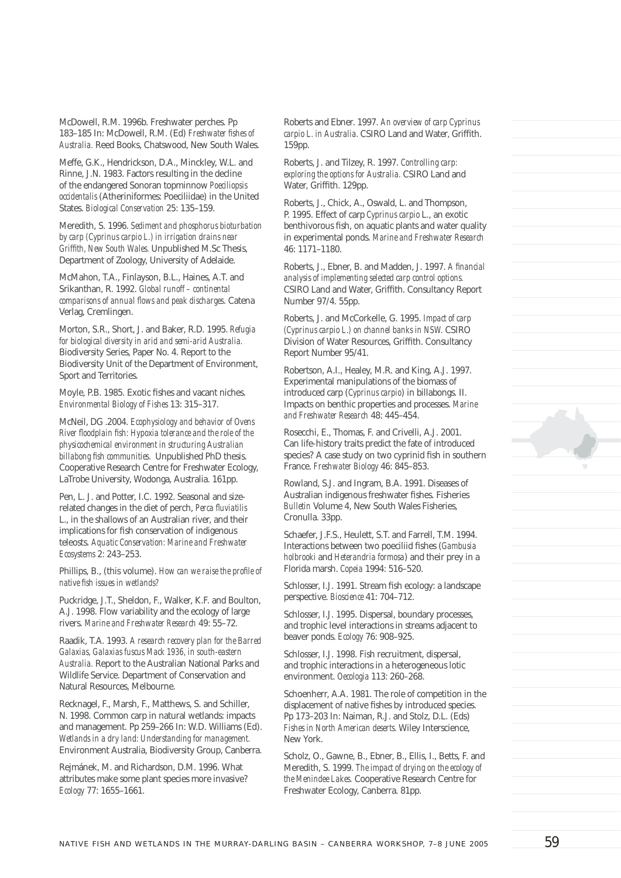McDowell, R.M. 1996b. Freshwater perches. Pp 183-185 In: McDowell, R.M. (Ed) *Freshwater fishes of Australia.* Reed Books, Chatswood, New South Wales.

Meffe, G.K., Hendrickson, D.A., Minckley, W.L. and Rinne, J.N. 1983. Factors resulting in the decline of the endangered Sonoran topminnow *Poeciliopsis occidentalis* (Atheriniformes: Poeciliidae) in the United States. *Biological Conservation* 25: 135–159.

Meredith, S. 1996. *Sediment and phosphorus bioturbation by carp (Cyprinus carpio L.) in irrigation drains near Griffi th, New South Wales.* Unpublished M.Sc Thesis, Department of Zoology, University of Adelaide.

McMahon, T.A., Finlayson, B.L., Haines, A.T. and Srikanthan, R. 1992. *Global runoff – continental comparisons of annual flows and peak discharges*. Catena Verlag, Cremlingen.

Morton, S.R., Short, J. and Baker, R.D. 1995. *Refugia for biological diversity in arid and semi-arid Australia.*  Biodiversity Series, Paper No. 4. Report to the Biodiversity Unit of the Department of Environment, Sport and Territories.

Moyle, P.B. 1985. Exotic fishes and vacant niches. *Environmental Biology of Fishes* 13: 315–317.

McNeil, DG .2004. *Ecophysiology and behavior of Ovens River floodplain fish: Hypoxia tolerance and the role of the physicochemical environment in structuring Australian billabong fish communities.* Unpublished PhD thesis. Cooperative Research Centre for Freshwater Ecology, LaTrobe University, Wodonga, Australia. 161pp.

Pen, L. J. and Potter, I.C. 1992. Seasonal and sizerelated changes in the diet of perch, *Perca fluviatilis* L., in the shallows of an Australian river, and their implications for fish conservation of indigenous teleosts. *Aquatic Conservation: Marine and Freshwater Ecosystems* 2: 243–253.

Phillips, B., (this volume). *How can we raise the profile of native fish issues in wetlands?* 

Puckridge, J.T., Sheldon, F., Walker, K.F. and Boulton, A.J. 1998. Flow variability and the ecology of large rivers. *Marine and Freshwater Research* 49: 55–72.

Raadik, T.A. 1993. *A research recovery plan for the Barred Galaxias, Galaxias fuscus Mack 1936, in south-eastern Australia.* Report to the Australian National Parks and Wildlife Service. Department of Conservation and Natural Resources, Melbourne.

Recknagel, F., Marsh, F., Matthews, S. and Schiller, N. 1998. Common carp in natural wetlands: impacts and management. Pp 259–266 In: W.D. Williams (Ed). *Wetlands in a dry land: Understanding for management.*  Environment Australia, Biodiversity Group, Canberra.

Rejmánek, M. and Richardson, D.M. 1996. What attributes make some plant species more invasive? *Ecology* 77: 1655–1661.

Roberts and Ebner. 1997. *An overview of carp Cyprinus carpio L. in Australia.* CSIRO Land and Water. Griffith. 159pp.

Roberts, J. and Tilzey, R. 1997. *Controlling carp: exploring the options for Australia.* CSIRO Land and Water, Griffith. 129pp.

Roberts, J., Chick, A., Oswald, L. and Thompson, P. 1995. Effect of carp *Cyprinus carpio* L., an exotic benthivorous fish, on aquatic plants and water quality in experimental ponds. *Marine and Freshwater Research*  46: 1171–1180.

Roberts, J., Ebner, B. and Madden, J. 1997. *A financial analysis of implementing selected carp control options.* CSIRO Land and Water, Griffith. Consultancy Report Number 97/4. 55pp.

Roberts, J. and McCorkelle, G. 1995. *Impact of carp (Cyprinus carpio L.) on channel banks in NSW.* CSIRO Division of Water Resources, Griffith. Consultancy Report Number 95/41.

Robertson, A.I., Healey, M.R. and King, A.J. 1997. Experimental manipulations of the biomass of introduced carp (*Cyprinus carpio*) in billabongs. II. Impacts on benthic properties and processes. *Marine and Freshwater Research* 48: 445–454.

Rosecchi, E., Thomas, F. and Crivelli, A.J. 2001. Can life-history traits predict the fate of introduced species? A case study on two cyprinid fish in southern France. *Freshwater Biology* 46: 845–853.

Rowland, S.J. and Ingram, B.A. 1991. Diseases of Australian indigenous freshwater fishes. Fisheries *Bulletin* Volume 4, New South Wales Fisheries, Cronulla. 33pp.

Schaefer, J.F.S., Heulett, S.T. and Farrell, T.M. 1994. Interactions between two poeciliid fishes (*Gambusia holbrooki* and *Heterandria formosa*) and their prey in a Florida marsh. *Copeia* 1994: 516–520.

Schlosser, I.J. 1991. Stream fish ecology: a landscape perspective. *Bioscience* 41: 704–712.

Schlosser, I.J. 1995. Dispersal, boundary processes, and trophic level interactions in streams adjacent to beaver ponds. *Ecology* 76: 908–925.

Schlosser, I.J. 1998. Fish recruitment, dispersal, and trophic interactions in a heterogeneous lotic environment. *Oecologia* 113: 260–268.

Schoenherr, A.A. 1981. The role of competition in the displacement of native fishes by introduced species. Pp 173–203 In: Naiman, R.J. and Stolz, D.L. (Eds) *Fishes in North American deserts.* Wiley Interscience, New York.

Scholz, O., Gawne, B., Ebner, B., Ellis, I., Betts, F. and Meredith, S. 1999. *The impact of drying on the ecology of the Menindee Lakes.* Cooperative Research Centre for Freshwater Ecology, Canberra. 81pp.